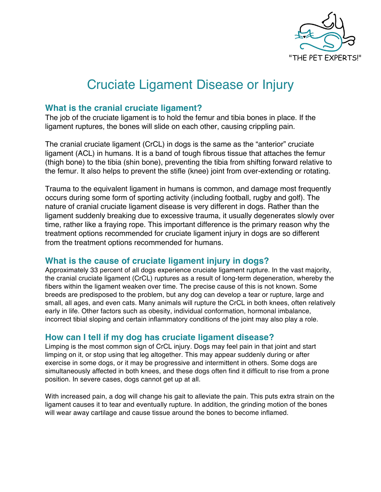

# Cruciate Ligament Disease or Injury

## **What is the cranial cruciate ligament?**

The job of the cruciate ligament is to hold the femur and tibia bones in place. If the ligament ruptures, the bones will slide on each other, causing crippling pain.

The cranial cruciate ligament (CrCL) in dogs is the same as the "anterior" cruciate ligament (ACL) in humans. It is a band of tough fibrous tissue that attaches the femur (thigh bone) to the tibia (shin bone), preventing the tibia from shifting forward relative to the femur. It also helps to prevent the stifle (knee) joint from over-extending or rotating.

Trauma to the equivalent ligament in humans is common, and damage most frequently occurs during some form of sporting activity (including football, rugby and golf). The nature of cranial cruciate ligament disease is very different in dogs. Rather than the ligament suddenly breaking due to excessive trauma, it usually degenerates slowly over time, rather like a fraying rope. This important difference is the primary reason why the treatment options recommended for cruciate ligament injury in dogs are so different from the treatment options recommended for humans.

### **What is the cause of cruciate ligament injury in dogs?**

Approximately 33 percent of all dogs experience cruciate ligament rupture. In the vast majority, the cranial cruciate ligament (CrCL) ruptures as a result of long-term degeneration, whereby the fibers within the ligament weaken over time. The precise cause of this is not known. Some breeds are predisposed to the problem, but any dog can develop a tear or rupture, large and small, all ages, and even cats. Many animals will rupture the CrCL in both knees, often relatively early in life. Other factors such as obesity, individual conformation, hormonal imbalance, incorrect tibial sloping and certain inflammatory conditions of the joint may also play a role.

### **How can I tell if my dog has cruciate ligament disease?**

Limping is the most common sign of CrCL injury. Dogs may feel pain in that joint and start limping on it, or stop using that leg altogether. This may appear suddenly during or after exercise in some dogs, or it may be progressive and intermittent in others. Some dogs are simultaneously affected in both knees, and these dogs often find it difficult to rise from a prone position. In severe cases, dogs cannot get up at all.

With increased pain, a dog will change his gait to alleviate the pain. This puts extra strain on the ligament causes it to tear and eventually rupture. In addition, the grinding motion of the bones will wear away cartilage and cause tissue around the bones to become inflamed.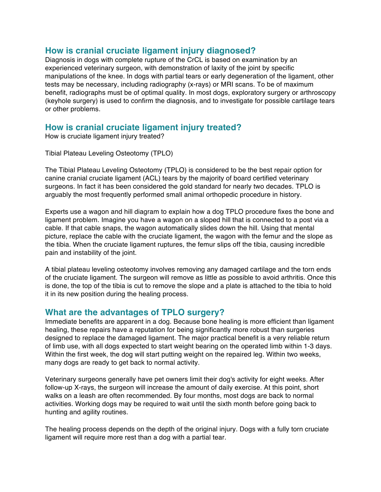### **How is cranial cruciate ligament injury diagnosed?**

Diagnosis in dogs with complete rupture of the CrCL is based on examination by an experienced veterinary surgeon, with demonstration of laxity of the joint by specific manipulations of the knee. In dogs with partial tears or early degeneration of the ligament, other tests may be necessary, including radiography (x-rays) or MRI scans. To be of maximum benefit, radiographs must be of optimal quality. In most dogs, exploratory surgery or arthroscopy (keyhole surgery) is used to confirm the diagnosis, and to investigate for possible cartilage tears or other problems.

## **How is cranial cruciate ligament injury treated?**

How is cruciate ligament injury treated?

Tibial Plateau Leveling Osteotomy (TPLO)

The Tibial Plateau Leveling Osteotomy (TPLO) is considered to be the best repair option for canine cranial cruciate ligament (ACL) tears by the majority of board certified veterinary surgeons. In fact it has been considered the gold standard for nearly two decades. TPLO is arguably the most frequently performed small animal orthopedic procedure in history.

Experts use a wagon and hill diagram to explain how a dog TPLO procedure fixes the bone and ligament problem. Imagine you have a wagon on a sloped hill that is connected to a post via a cable. If that cable snaps, the wagon automatically slides down the hill. Using that mental picture, replace the cable with the cruciate ligament, the wagon with the femur and the slope as the tibia. When the cruciate ligament ruptures, the femur slips off the tibia, causing incredible pain and instability of the joint.

A tibial plateau leveling osteotomy involves removing any damaged cartilage and the torn ends of the cruciate ligament. The surgeon will remove as little as possible to avoid arthritis. Once this is done, the top of the tibia is cut to remove the slope and a plate is attached to the tibia to hold it in its new position during the healing process.

### **What are the advantages of TPLO surgery?**

Immediate benefits are apparent in a dog. Because bone healing is more efficient than ligament healing, these repairs have a reputation for being significantly more robust than surgeries designed to replace the damaged ligament. The major practical benefit is a very reliable return of limb use, with all dogs expected to start weight bearing on the operated limb within 1-3 days. Within the first week, the dog will start putting weight on the repaired leg. Within two weeks, many dogs are ready to get back to normal activity.

Veterinary surgeons generally have pet owners limit their dog's activity for eight weeks. After follow-up X-rays, the surgeon will increase the amount of daily exercise. At this point, short walks on a leash are often recommended. By four months, most dogs are back to normal activities. Working dogs may be required to wait until the sixth month before going back to hunting and agility routines.

The healing process depends on the depth of the original injury. Dogs with a fully torn cruciate ligament will require more rest than a dog with a partial tear.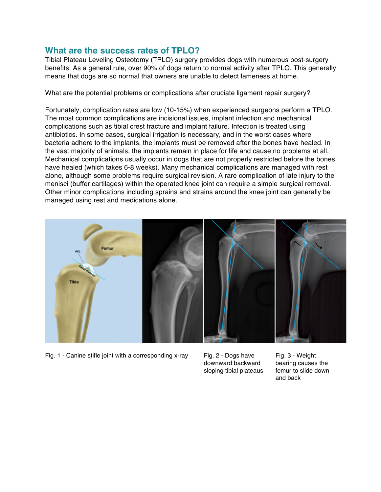#### **What are the success rates of TPLO?**

Tibial Plateau Leveling Osteotomy (TPLO) surgery provides dogs with numerous post-surgery benefits. As a general rule, over 90% of dogs return to normal activity after TPLO. This generally means that dogs are so normal that owners are unable to detect lameness at home.

What are the potential problems or complications after cruciate ligament repair surgery?

Fortunately, complication rates are low (10-15%) when experienced surgeons perform a TPLO. The most common complications are incisional issues, implant infection and mechanical complications such as tibial crest fracture and implant failure. Infection is treated using antibiotics. In some cases, surgical irrigation is necessary, and in the worst cases where bacteria adhere to the implants, the implants must be removed after the bones have healed. In the vast majority of animals, the implants remain in place for life and cause no problems at all. Mechanical complications usually occur in dogs that are not properly restricted before the bones have healed (which takes 6-8 weeks). Many mechanical complications are managed with rest alone, although some problems require surgical revision. A rare complication of late injury to the menisci (buffer cartilages) within the operated knee joint can require a simple surgical removal. Other minor complications including sprains and strains around the knee joint can generally be managed using rest and medications alone.



Fig. 1 - Canine stifle joint with a corresponding x-ray Fig. 2 - Dogs have

downward backward sloping tibial plateaus

Fig. 3 - Weight bearing causes the femur to slide down and back